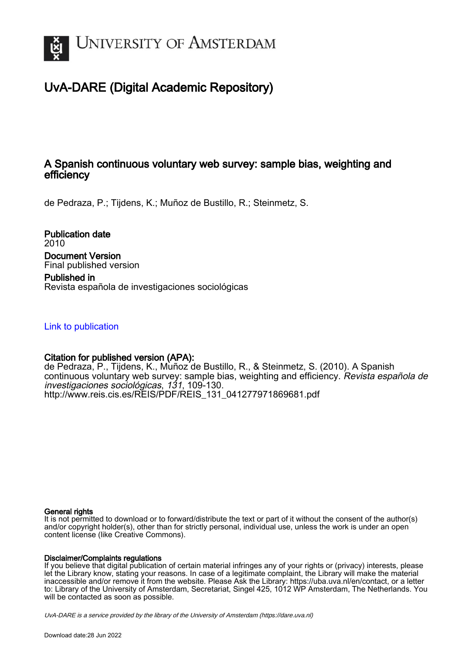

# UvA-DARE (Digital Academic Repository)

## A Spanish continuous voluntary web survey: sample bias, weighting and efficiency

de Pedraza, P.; Tijdens, K.; Muñoz de Bustillo, R.; Steinmetz, S.

Publication date 2010 Document Version Final published version Published in

Revista española de investigaciones sociológicas

[Link to publication](https://dare.uva.nl/personal/pure/en/publications/a-spanish-continuous-voluntary-web-survey-sample-bias-weighting-and-efficiency(4cc715e1-ba02-481b-aa98-201c64588520).html)

## Citation for published version (APA):

de Pedraza, P., Tijdens, K., Muñoz de Bustillo, R., & Steinmetz, S. (2010). A Spanish continuous voluntary web survey: sample bias, weighting and efficiency. Revista española de investigaciones sociológicas, 131, 109-130. [http://www.reis.cis.es/REIS/PDF/REIS\\_131\\_041277971869681.pdf](http://www.reis.cis.es/REIS/PDF/REIS_131_041277971869681.pdf)

## General rights

It is not permitted to download or to forward/distribute the text or part of it without the consent of the author(s) and/or copyright holder(s), other than for strictly personal, individual use, unless the work is under an open content license (like Creative Commons).

## Disclaimer/Complaints regulations

If you believe that digital publication of certain material infringes any of your rights or (privacy) interests, please let the Library know, stating your reasons. In case of a legitimate complaint, the Library will make the material inaccessible and/or remove it from the website. Please Ask the Library: https://uba.uva.nl/en/contact, or a letter to: Library of the University of Amsterdam, Secretariat, Singel 425, 1012 WP Amsterdam, The Netherlands. You will be contacted as soon as possible.

UvA-DARE is a service provided by the library of the University of Amsterdam (http*s*://dare.uva.nl)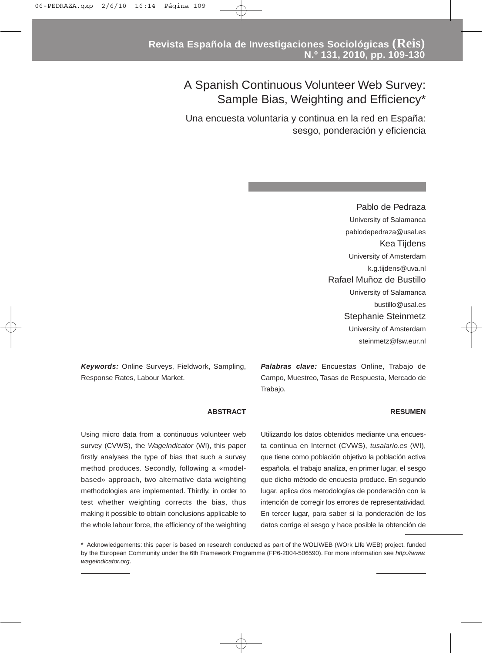# A Spanish Continuous Volunteer Web Survey: Sample Bias, Weighting and Efficiency\*

Una encuesta voluntaria y continua en la red en España: sesgo, ponderación y eficiencia

> Pablo de Pedraza University of Salamanca pablodepedraza@usal.es Kea Tijdens University of Amsterdam k.g.tijdens@uva.nl Rafael Muñoz de Bustillo University of Salamanca bustillo@usal.es Stephanie Steinmetz University of Amsterdam steinmetz@fsw.eur.nl

*Keywords:* Online Surveys, Fieldwork, Sampling, Response Rates, Labour Market.

*Palabras clave:* Encuestas Online, Trabajo de Campo, Muestreo, Tasas de Respuesta, Mercado de Trabajo.

#### **RESUMEN**

**ABSTRACT**

Using micro data from a continuous volunteer web survey (CVWS), the *WageIndicator* (WI), this paper firstly analyses the type of bias that such a survey method produces. Secondly, following a «modelbased» approach, two alternative data weighting methodologies are implemented. Thirdly, in order to test whether weighting corrects the bias, thus making it possible to obtain conclusions applicable to the whole labour force, the efficiency of the weighting Utilizando los datos obtenidos mediante una encuesta continua en Internet (CVWS), *tusalario.es* (WI), que tiene como población objetivo la población activa española, el trabajo analiza, en primer lugar, el sesgo que dicho método de encuesta produce. En segundo lugar, aplica dos metodologías de ponderación con la intención de corregir los errores de representatividad. En tercer lugar, para saber si la ponderación de los datos corrige el sesgo y hace posible la obtención de

\* Acknowledgements: this paper is based on research conducted as part of the WOLIWEB (WOrk LIfe WEB) project, funded by the European Community under the 6th Framework Programme (FP6-2004-506590). For more information see *http://www. wageindicator.org*.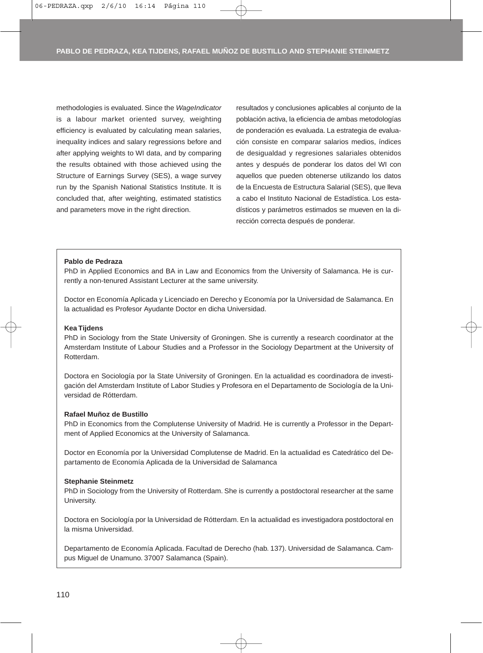methodologies is evaluated. Since the *WageIndicator* is a labour market oriented survey, weighting efficiency is evaluated by calculating mean salaries, inequality indices and salary regressions before and after applying weights to WI data, and by comparing the results obtained with those achieved using the Structure of Earnings Survey (SES), a wage survey run by the Spanish National Statistics Institute. It is concluded that, after weighting, estimated statistics and parameters move in the right direction.

resultados y conclusiones aplicables al conjunto de la población activa, la eficiencia de ambas metodologías de ponderación es evaluada. La estrategia de evaluación consiste en comparar salarios medios, índices de desigualdad y regresiones salariales obtenidos antes y después de ponderar los datos del WI con aquellos que pueden obtenerse utilizando los datos de la Encuesta de Estructura Salarial (SES), que lleva a cabo el Instituto Nacional de Estadística. Los estadísticos y parámetros estimados se mueven en la dirección correcta después de ponderar.

#### **Pablo de Pedraza**

PhD in Applied Economics and BA in Law and Economics from the University of Salamanca. He is currently a non-tenured Assistant Lecturer at the same university.

Doctor en Economía Aplicada y Licenciado en Derecho y Economía por la Universidad de Salamanca. En la actualidad es Profesor Ayudante Doctor en dicha Universidad.

#### **Kea Tijdens**

PhD in Sociology from the State University of Groningen. She is currently a research coordinator at the Amsterdam Institute of Labour Studies and a Professor in the Sociology Department at the University of Rotterdam.

Doctora en Sociología por la State University of Groningen. En la actualidad es coordinadora de investigación del Amsterdam Institute of Labor Studies y Profesora en el Departamento de Sociología de la Universidad de Rótterdam.

#### **Rafael Muñoz de Bustillo**

PhD in Economics from the Complutense University of Madrid. He is currently a Professor in the Department of Applied Economics at the University of Salamanca.

Doctor en Economía por la Universidad Complutense de Madrid. En la actualidad es Catedrático del Departamento de Economía Aplicada de la Universidad de Salamanca

#### **Stephanie Steinmetz**

PhD in Sociology from the University of Rotterdam. She is currently a postdoctoral researcher at the same University.

Doctora en Sociología por la Universidad de Rótterdam. En la actualidad es investigadora postdoctoral en la misma Universidad.

Departamento de Economía Aplicada. Facultad de Derecho (hab. 137). Universidad de Salamanca. Campus Miguel de Unamuno. 37007 Salamanca (Spain).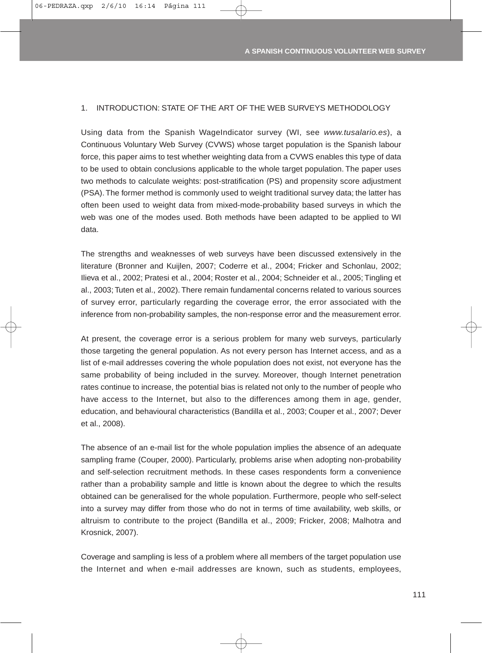#### 1. INTRODUCTION: STATE OF THE ART OF THE WEB SURVEYS METHODOLOGY

Using data from the Spanish WageIndicator survey (WI, see *www.tusalario.es*), a Continuous Voluntary Web Survey (CVWS) whose target population is the Spanish labour force, this paper aims to test whether weighting data from a CVWS enables this type of data to be used to obtain conclusions applicable to the whole target population. The paper uses two methods to calculate weights: post-stratification (PS) and propensity score adjustment (PSA). The former method is commonly used to weight traditional survey data; the latter has often been used to weight data from mixed-mode-probability based surveys in which the web was one of the modes used. Both methods have been adapted to be applied to WI data.

The strengths and weaknesses of web surveys have been discussed extensively in the literature (Bronner and Kuijlen, 2007; Coderre et al., 2004; Fricker and Schonlau, 2002; Ilieva et al., 2002; Pratesi et al., 2004; Roster et al., 2004; Schneider et al., 2005; Tingling et al., 2003; Tuten et al., 2002). There remain fundamental concerns related to various sources of survey error, particularly regarding the coverage error, the error associated with the inference from non-probability samples, the non-response error and the measurement error.

At present, the coverage error is a serious problem for many web surveys, particularly those targeting the general population. As not every person has Internet access, and as a list of e-mail addresses covering the whole population does not exist, not everyone has the same probability of being included in the survey. Moreover, though Internet penetration rates continue to increase, the potential bias is related not only to the number of people who have access to the Internet, but also to the differences among them in age, gender, education, and behavioural characteristics (Bandilla et al., 2003; Couper et al., 2007; Dever et al., 2008).

The absence of an e-mail list for the whole population implies the absence of an adequate sampling frame (Couper, 2000). Particularly, problems arise when adopting non-probability and self-selection recruitment methods. In these cases respondents form a convenience rather than a probability sample and little is known about the degree to which the results obtained can be generalised for the whole population. Furthermore, people who self-select into a survey may differ from those who do not in terms of time availability, web skills, or altruism to contribute to the project (Bandilla et al., 2009; Fricker, 2008; Malhotra and Krosnick, 2007).

Coverage and sampling is less of a problem where all members of the target population use the Internet and when e-mail addresses are known, such as students, employees,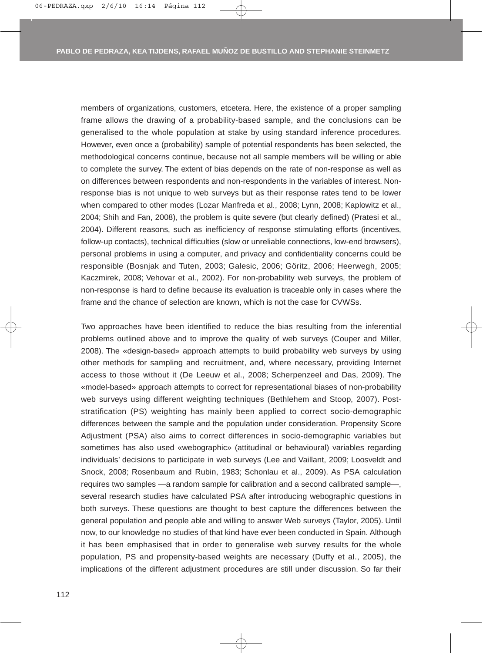members of organizations, customers, etcetera. Here, the existence of a proper sampling frame allows the drawing of a probability-based sample, and the conclusions can be generalised to the whole population at stake by using standard inference procedures. However, even once a (probability) sample of potential respondents has been selected, the methodological concerns continue, because not all sample members will be willing or able to complete the survey. The extent of bias depends on the rate of non-response as well as on differences between respondents and non-respondents in the variables of interest. Nonresponse bias is not unique to web surveys but as their response rates tend to be lower when compared to other modes (Lozar Manfreda et al., 2008; Lynn, 2008; Kaplowitz et al., 2004; Shih and Fan, 2008), the problem is quite severe (but clearly defined) (Pratesi et al., 2004). Different reasons, such as inefficiency of response stimulating efforts (incentives, follow-up contacts), technical difficulties (slow or unreliable connections, low-end browsers), personal problems in using a computer, and privacy and confidentiality concerns could be responsible (Bosnjak and Tuten, 2003; Galesic, 2006; Göritz, 2006; Heerwegh, 2005; Kaczmirek, 2008; Vehovar et al., 2002). For non-probability web surveys, the problem of non-response is hard to define because its evaluation is traceable only in cases where the frame and the chance of selection are known, which is not the case for CVWSs.

Two approaches have been identified to reduce the bias resulting from the inferential problems outlined above and to improve the quality of web surveys (Couper and Miller, 2008). The «design-based» approach attempts to build probability web surveys by using other methods for sampling and recruitment, and, where necessary, providing Internet access to those without it (De Leeuw et al., 2008; Scherpenzeel and Das, 2009). The «model-based» approach attempts to correct for representational biases of non-probability web surveys using different weighting techniques (Bethlehem and Stoop, 2007). Poststratification (PS) weighting has mainly been applied to correct socio-demographic differences between the sample and the population under consideration. Propensity Score Adjustment (PSA) also aims to correct differences in socio-demographic variables but sometimes has also used «webographic» (attitudinal or behavioural) variables regarding individuals' decisions to participate in web surveys (Lee and Vaillant, 2009; Loosveldt and Snock, 2008; Rosenbaum and Rubin, 1983; Schonlau et al., 2009). As PSA calculation requires two samples —a random sample for calibration and a second calibrated sample—, several research studies have calculated PSA after introducing webographic questions in both surveys. These questions are thought to best capture the differences between the general population and people able and willing to answer Web surveys (Taylor, 2005). Until now, to our knowledge no studies of that kind have ever been conducted in Spain. Although it has been emphasised that in order to generalise web survey results for the whole population, PS and propensity-based weights are necessary (Duffy et al., 2005), the implications of the different adjustment procedures are still under discussion. So far their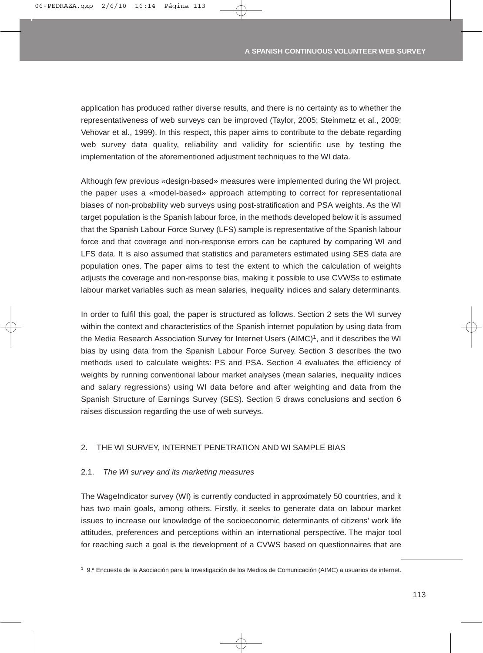application has produced rather diverse results, and there is no certainty as to whether the representativeness of web surveys can be improved (Taylor, 2005; Steinmetz et al., 2009; Vehovar et al., 1999). In this respect, this paper aims to contribute to the debate regarding web survey data quality, reliability and validity for scientific use by testing the implementation of the aforementioned adjustment techniques to the WI data.

Although few previous «design-based» measures were implemented during the WI project, the paper uses a «model-based» approach attempting to correct for representational biases of non-probability web surveys using post-stratification and PSA weights. As the WI target population is the Spanish labour force, in the methods developed below it is assumed that the Spanish Labour Force Survey (LFS) sample is representative of the Spanish labour force and that coverage and non-response errors can be captured by comparing WI and LFS data. It is also assumed that statistics and parameters estimated using SES data are population ones. The paper aims to test the extent to which the calculation of weights adjusts the coverage and non-response bias, making it possible to use CVWSs to estimate labour market variables such as mean salaries, inequality indices and salary determinants.

In order to fulfil this goal, the paper is structured as follows. Section 2 sets the WI survey within the context and characteristics of the Spanish internet population by using data from the Media Research Association Survey for Internet Users (AIMC)<sup>1</sup>, and it describes the WI bias by using data from the Spanish Labour Force Survey. Section 3 describes the two methods used to calculate weights: PS and PSA. Section 4 evaluates the efficiency of weights by running conventional labour market analyses (mean salaries, inequality indices and salary regressions) using WI data before and after weighting and data from the Spanish Structure of Earnings Survey (SES). Section 5 draws conclusions and section 6 raises discussion regarding the use of web surveys.

### 2. THE WI SURVEY, INTERNET PENETRATION AND WI SAMPLE BIAS

#### 2.1. *The WI survey and its marketing measures*

The WageIndicator survey (WI) is currently conducted in approximately 50 countries, and it has two main goals, among others. Firstly, it seeks to generate data on labour market issues to increase our knowledge of the socioeconomic determinants of citizens' work life attitudes, preferences and perceptions within an international perspective. The major tool for reaching such a goal is the development of a CVWS based on questionnaires that are

1 9.ª Encuesta de la Asociación para la Investigación de los Medios de Comunicación (AIMC) a usuarios de internet.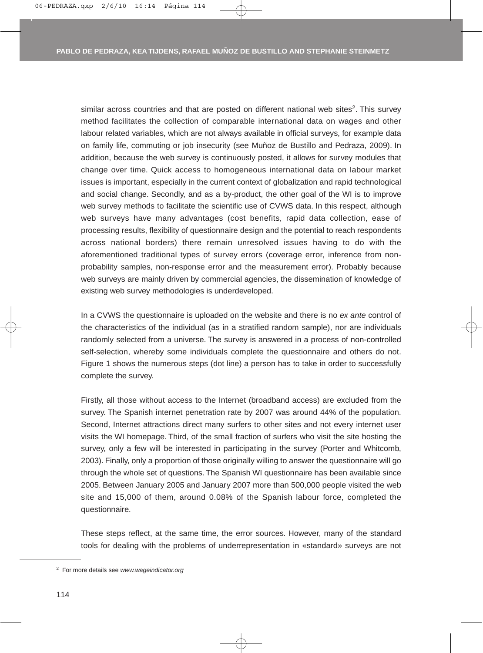similar across countries and that are posted on different national web sites<sup>2</sup>. This survey method facilitates the collection of comparable international data on wages and other labour related variables, which are not always available in official surveys, for example data on family life, commuting or job insecurity (see Muñoz de Bustillo and Pedraza, 2009). In addition, because the web survey is continuously posted, it allows for survey modules that change over time. Quick access to homogeneous international data on labour market issues is important, especially in the current context of globalization and rapid technological and social change. Secondly, and as a by-product, the other goal of the WI is to improve web survey methods to facilitate the scientific use of CVWS data. In this respect, although web surveys have many advantages (cost benefits, rapid data collection, ease of processing results, flexibility of questionnaire design and the potential to reach respondents across national borders) there remain unresolved issues having to do with the aforementioned traditional types of survey errors (coverage error, inference from nonprobability samples, non-response error and the measurement error). Probably because web surveys are mainly driven by commercial agencies, the dissemination of knowledge of existing web survey methodologies is underdeveloped.

In a CVWS the questionnaire is uploaded on the website and there is no *ex ante* control of the characteristics of the individual (as in a stratified random sample), nor are individuals randomly selected from a universe. The survey is answered in a process of non-controlled self-selection, whereby some individuals complete the questionnaire and others do not. Figure 1 shows the numerous steps (dot line) a person has to take in order to successfully complete the survey.

Firstly, all those without access to the Internet (broadband access) are excluded from the survey. The Spanish internet penetration rate by 2007 was around 44% of the population. Second, Internet attractions direct many surfers to other sites and not every internet user visits the WI homepage. Third, of the small fraction of surfers who visit the site hosting the survey, only a few will be interested in participating in the survey (Porter and Whitcomb, 2003). Finally, only a proportion of those originally willing to answer the questionnaire will go through the whole set of questions. The Spanish WI questionnaire has been available since 2005. Between January 2005 and January 2007 more than 500,000 people visited the web site and 15,000 of them, around 0.08% of the Spanish labour force, completed the questionnaire.

These steps reflect, at the same time, the error sources. However, many of the standard tools for dealing with the problems of underrepresentation in «standard» surveys are not

<sup>2</sup> For more details see *www.wageindicator.org*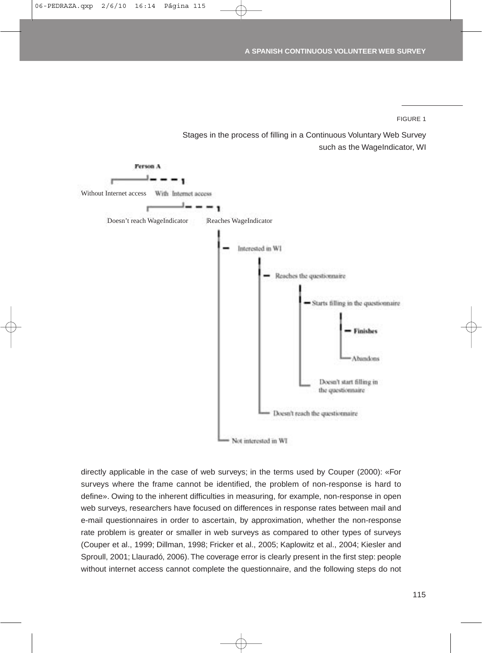FIGURE 1

Stages in the process of filling in a Continuous Voluntary Web Survey such as the WageIndicator, WI



directly applicable in the case of web surveys; in the terms used by Couper (2000): «For surveys where the frame cannot be identified, the problem of non-response is hard to define». Owing to the inherent difficulties in measuring, for example, non-response in open web surveys, researchers have focused on differences in response rates between mail and e-mail questionnaires in order to ascertain, by approximation, whether the non-response rate problem is greater or smaller in web surveys as compared to other types of surveys (Couper et al., 1999; Dillman, 1998; Fricker et al., 2005; Kaplowitz et al., 2004; Kiesler and Sproull, 2001; Llauradó, 2006). The coverage error is clearly present in the first step: people without internet access cannot complete the questionnaire, and the following steps do not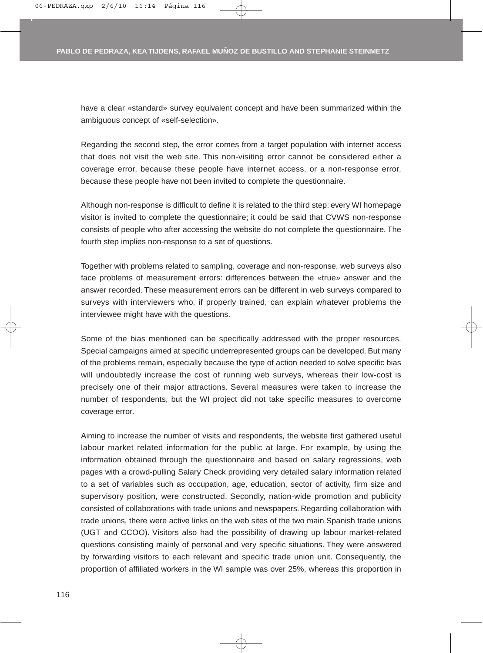have a clear «standard» survey equivalent concept and have been summarized within the ambiguous concept of «self-selection».

Regarding the second step, the error comes from a target population with internet access that does not visit the web site. This non-visiting error cannot be considered either a coverage error, because these people have internet access, or a non-response error, because these people have not been invited to complete the questionnaire.

Although non-response is difficult to define it is related to the third step: every WI homepage visitor is invited to complete the questionnaire; it could be said that CVWS non-response consists of people who after accessing the website do not complete the questionnaire. The fourth step implies non-response to a set of questions.

Together with problems related to sampling, coverage and non-response, web surveys also face problems of measurement errors: differences between the «true» answer and the answer recorded. These measurement errors can be different in web surveys compared to surveys with interviewers who, if properly trained, can explain whatever problems the interviewee might have with the questions.

Some of the bias mentioned can be specifically addressed with the proper resources. Special campaigns aimed at specific underrepresented groups can be developed. But many of the problems remain, especially because the type of action needed to solve specific bias will undoubtedly increase the cost of running web surveys, whereas their low-cost is precisely one of their major attractions. Several measures were taken to increase the number of respondents, but the WI project did not take specific measures to overcome coverage error.

Aiming to increase the number of visits and respondents, the website first gathered useful labour market related information for the public at large. For example, by using the information obtained through the questionnaire and based on salary regressions, web pages with a crowd-pulling Salary Check providing very detailed salary information related to a set of variables such as occupation, age, education, sector of activity, firm size and supervisory position, were constructed. Secondly, nation-wide promotion and publicity consisted of collaborations with trade unions and newspapers. Regarding collaboration with trade unions, there were active links on the web sites of the two main Spanish trade unions (UGT and CCOO). Visitors also had the possibility of drawing up labour market-related questions consisting mainly of personal and very specific situations. They were answered by forwarding visitors to each relevant and specific trade union unit. Consequently, the proportion of affiliated workers in the WI sample was over 25%, whereas this proportion in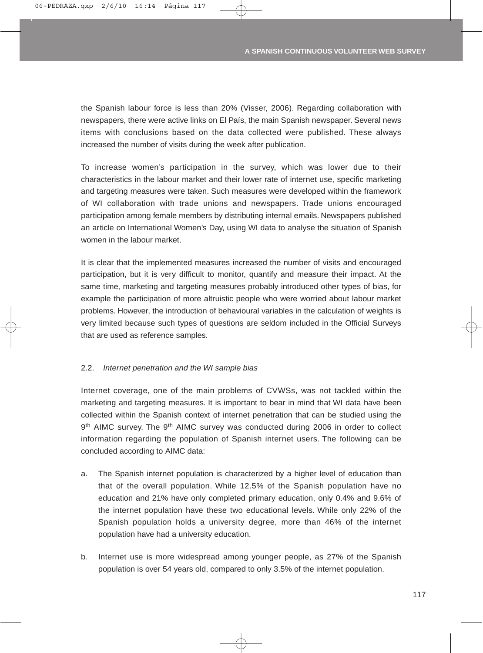the Spanish labour force is less than 20% (Visser, 2006). Regarding collaboration with newspapers, there were active links on El País, the main Spanish newspaper. Several news items with conclusions based on the data collected were published. These always increased the number of visits during the week after publication.

To increase women's participation in the survey, which was lower due to their characteristics in the labour market and their lower rate of internet use, specific marketing and targeting measures were taken. Such measures were developed within the framework of WI collaboration with trade unions and newspapers. Trade unions encouraged participation among female members by distributing internal emails. Newspapers published an article on International Women's Day, using WI data to analyse the situation of Spanish women in the labour market.

It is clear that the implemented measures increased the number of visits and encouraged participation, but it is very difficult to monitor, quantify and measure their impact. At the same time, marketing and targeting measures probably introduced other types of bias, for example the participation of more altruistic people who were worried about labour market problems. However, the introduction of behavioural variables in the calculation of weights is very limited because such types of questions are seldom included in the Official Surveys that are used as reference samples.

## 2.2. *Internet penetration and the WI sample bias*

Internet coverage, one of the main problems of CVWSs, was not tackled within the marketing and targeting measures. It is important to bear in mind that WI data have been collected within the Spanish context of internet penetration that can be studied using the 9<sup>th</sup> AIMC survey. The 9<sup>th</sup> AIMC survey was conducted during 2006 in order to collect information regarding the population of Spanish internet users. The following can be concluded according to AIMC data:

- a. The Spanish internet population is characterized by a higher level of education than that of the overall population. While 12.5% of the Spanish population have no education and 21% have only completed primary education, only 0.4% and 9.6% of the internet population have these two educational levels. While only 22% of the Spanish population holds a university degree, more than 46% of the internet population have had a university education.
- b. Internet use is more widespread among younger people, as 27% of the Spanish population is over 54 years old, compared to only 3.5% of the internet population.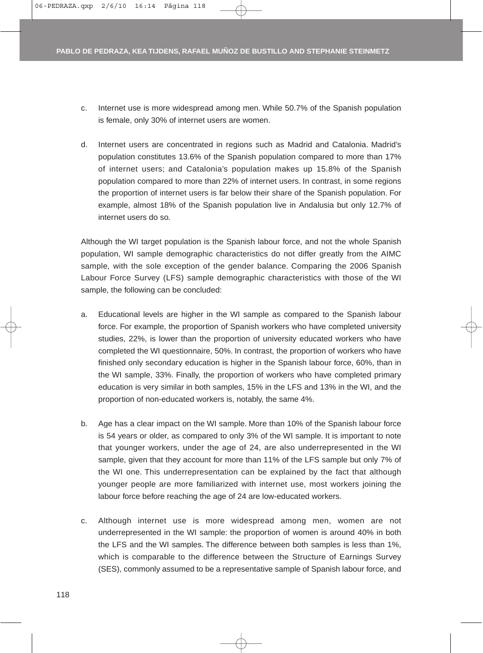- c. Internet use is more widespread among men. While 50.7% of the Spanish population is female, only 30% of internet users are women.
- d. Internet users are concentrated in regions such as Madrid and Catalonia. Madrid's population constitutes 13.6% of the Spanish population compared to more than 17% of internet users; and Catalonia's population makes up 15.8% of the Spanish population compared to more than 22% of internet users. In contrast, in some regions the proportion of internet users is far below their share of the Spanish population. For example, almost 18% of the Spanish population live in Andalusia but only 12.7% of internet users do so.

Although the WI target population is the Spanish labour force, and not the whole Spanish population, WI sample demographic characteristics do not differ greatly from the AIMC sample, with the sole exception of the gender balance. Comparing the 2006 Spanish Labour Force Survey (LFS) sample demographic characteristics with those of the WI sample, the following can be concluded:

- a. Educational levels are higher in the WI sample as compared to the Spanish labour force. For example, the proportion of Spanish workers who have completed university studies, 22%, is lower than the proportion of university educated workers who have completed the WI questionnaire, 50%. In contrast, the proportion of workers who have finished only secondary education is higher in the Spanish labour force, 60%, than in the WI sample, 33%. Finally, the proportion of workers who have completed primary education is very similar in both samples, 15% in the LFS and 13% in the WI, and the proportion of non-educated workers is, notably, the same 4%.
- b. Age has a clear impact on the WI sample. More than 10% of the Spanish labour force is 54 years or older, as compared to only 3% of the WI sample. It is important to note that younger workers, under the age of 24, are also underrepresented in the WI sample, given that they account for more than 11% of the LFS sample but only 7% of the WI one. This underrepresentation can be explained by the fact that although younger people are more familiarized with internet use, most workers joining the labour force before reaching the age of 24 are low-educated workers.
- c. Although internet use is more widespread among men, women are not underrepresented in the WI sample: the proportion of women is around 40% in both the LFS and the WI samples. The difference between both samples is less than 1%, which is comparable to the difference between the Structure of Earnings Survey (SES), commonly assumed to be a representative sample of Spanish labour force, and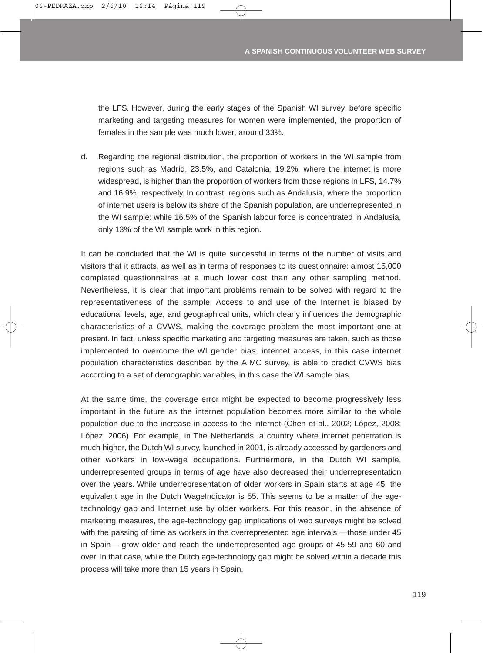the LFS. However, during the early stages of the Spanish WI survey, before specific marketing and targeting measures for women were implemented, the proportion of females in the sample was much lower, around 33%.

d. Regarding the regional distribution, the proportion of workers in the WI sample from regions such as Madrid, 23.5%, and Catalonia, 19.2%, where the internet is more widespread, is higher than the proportion of workers from those regions in LFS, 14.7% and 16.9%, respectively. In contrast, regions such as Andalusia, where the proportion of internet users is below its share of the Spanish population, are underrepresented in the WI sample: while 16.5% of the Spanish labour force is concentrated in Andalusia, only 13% of the WI sample work in this region.

It can be concluded that the WI is quite successful in terms of the number of visits and visitors that it attracts, as well as in terms of responses to its questionnaire: almost 15,000 completed questionnaires at a much lower cost than any other sampling method. Nevertheless, it is clear that important problems remain to be solved with regard to the representativeness of the sample. Access to and use of the Internet is biased by educational levels, age, and geographical units, which clearly influences the demographic characteristics of a CVWS, making the coverage problem the most important one at present. In fact, unless specific marketing and targeting measures are taken, such as those implemented to overcome the WI gender bias, internet access, in this case internet population characteristics described by the AIMC survey, is able to predict CVWS bias according to a set of demographic variables, in this case the WI sample bias.

At the same time, the coverage error might be expected to become progressively less important in the future as the internet population becomes more similar to the whole population due to the increase in access to the internet (Chen et al., 2002; López, 2008; López, 2006). For example, in The Netherlands, a country where internet penetration is much higher, the Dutch WI survey, launched in 2001, is already accessed by gardeners and other workers in low-wage occupations. Furthermore, in the Dutch WI sample, underrepresented groups in terms of age have also decreased their underrepresentation over the years. While underrepresentation of older workers in Spain starts at age 45, the equivalent age in the Dutch WageIndicator is 55. This seems to be a matter of the agetechnology gap and Internet use by older workers. For this reason, in the absence of marketing measures, the age-technology gap implications of web surveys might be solved with the passing of time as workers in the overrepresented age intervals —those under 45 in Spain— grow older and reach the underrepresented age groups of 45-59 and 60 and over. In that case, while the Dutch age-technology gap might be solved within a decade this process will take more than 15 years in Spain.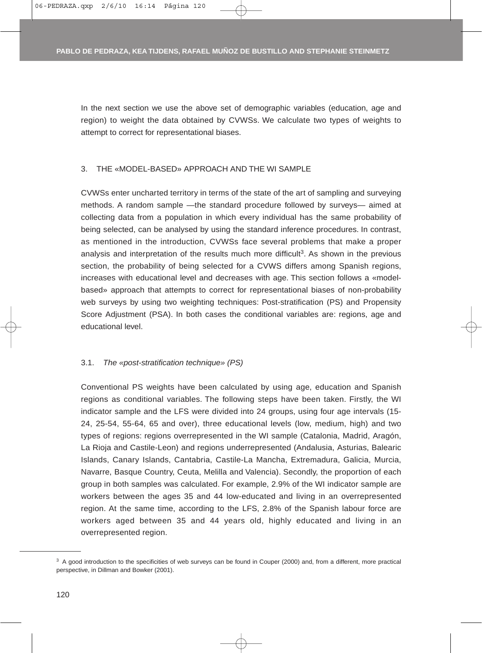In the next section we use the above set of demographic variables (education, age and region) to weight the data obtained by CVWSs. We calculate two types of weights to attempt to correct for representational biases.

#### 3. THE «MODEL-BASED» APPROACH AND THE WI SAMPLE

CVWSs enter uncharted territory in terms of the state of the art of sampling and surveying methods. A random sample —the standard procedure followed by surveys— aimed at collecting data from a population in which every individual has the same probability of being selected, can be analysed by using the standard inference procedures. In contrast, as mentioned in the introduction, CVWSs face several problems that make a proper analysis and interpretation of the results much more difficult<sup>3</sup>. As shown in the previous section, the probability of being selected for a CVWS differs among Spanish regions, increases with educational level and decreases with age. This section follows a «modelbased» approach that attempts to correct for representational biases of non-probability web surveys by using two weighting techniques: Post-stratification (PS) and Propensity Score Adjustment (PSA). In both cases the conditional variables are: regions, age and educational level.

#### 3.1. *The «post-stratification technique» (PS)*

Conventional PS weights have been calculated by using age, education and Spanish regions as conditional variables. The following steps have been taken. Firstly, the WI indicator sample and the LFS were divided into 24 groups, using four age intervals (15- 24, 25-54, 55-64, 65 and over), three educational levels (low, medium, high) and two types of regions: regions overrepresented in the WI sample (Catalonia, Madrid, Aragón, La Rioja and Castile-Leon) and regions underrepresented (Andalusia, Asturias, Balearic Islands, Canary Islands, Cantabria, Castile-La Mancha, Extremadura, Galicia, Murcia, Navarre, Basque Country, Ceuta, Melilla and Valencia). Secondly, the proportion of each group in both samples was calculated. For example, 2.9% of the WI indicator sample are workers between the ages 35 and 44 low-educated and living in an overrepresented region. At the same time, according to the LFS, 2.8% of the Spanish labour force are workers aged between 35 and 44 years old, highly educated and living in an overrepresented region.

<sup>&</sup>lt;sup>3</sup> A good introduction to the specificities of web surveys can be found in Couper (2000) and, from a different, more practical perspective, in Dillman and Bowker (2001).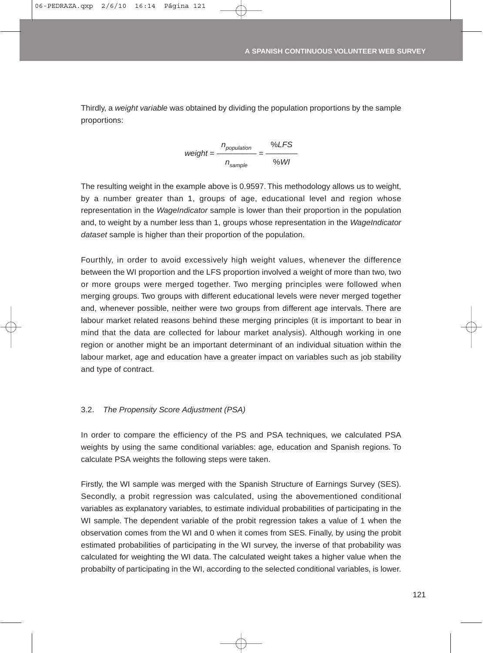Thirdly, a *weight variable* was obtained by dividing the population proportions by the sample proportions:

$$
weight = \frac{n_{population}}{n_{sample}} = \frac{\% LFS}{\% WI}
$$

The resulting weight in the example above is 0.9597. This methodology allows us to weight, by a number greater than 1, groups of age, educational level and region whose representation in the *WageIndicator* sample is lower than their proportion in the population and, to weight by a number less than 1, groups whose representation in the *WageIndicator dataset* sample is higher than their proportion of the population.

Fourthly, in order to avoid excessively high weight values, whenever the difference between the WI proportion and the LFS proportion involved a weight of more than two, two or more groups were merged together. Two merging principles were followed when merging groups. Two groups with different educational levels were never merged together and, whenever possible, neither were two groups from different age intervals. There are labour market related reasons behind these merging principles (it is important to bear in mind that the data are collected for labour market analysis). Although working in one region or another might be an important determinant of an individual situation within the labour market, age and education have a greater impact on variables such as job stability and type of contract.

## 3.2. *The Propensity Score Adjustment (PSA)*

In order to compare the efficiency of the PS and PSA techniques, we calculated PSA weights by using the same conditional variables: age, education and Spanish regions. To calculate PSA weights the following steps were taken.

Firstly, the WI sample was merged with the Spanish Structure of Earnings Survey (SES). Secondly, a probit regression was calculated, using the abovementioned conditional variables as explanatory variables, to estimate individual probabilities of participating in the WI sample. The dependent variable of the probit regression takes a value of 1 when the observation comes from the WI and 0 when it comes from SES. Finally, by using the probit estimated probabilities of participating in the WI survey, the inverse of that probability was calculated for weighting the WI data. The calculated weight takes a higher value when the probabilty of participating in the WI, according to the selected conditional variables, is lower.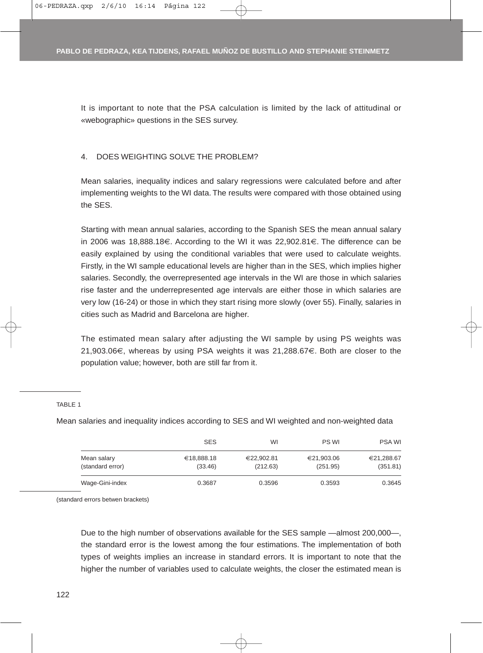It is important to note that the PSA calculation is limited by the lack of attitudinal or «webographic» questions in the SES survey.

### 4. DOES WEIGHTING SOLVE THE PROBLEM?

Mean salaries, inequality indices and salary regressions were calculated before and after implementing weights to the WI data. The results were compared with those obtained using the SES.

Starting with mean annual salaries, according to the Spanish SES the mean annual salary in 2006 was 18,888.18€. According to the WI it was 22,902.81€. The difference can be easily explained by using the conditional variables that were used to calculate weights. Firstly, in the WI sample educational levels are higher than in the SES, which implies higher salaries. Secondly, the overrepresented age intervals in the WI are those in which salaries rise faster and the underrepresented age intervals are either those in which salaries are very low (16-24) or those in which they start rising more slowly (over 55). Finally, salaries in cities such as Madrid and Barcelona are higher.

The estimated mean salary after adjusting the WI sample by using PS weights was 21,903.06€, whereas by using PSA weights it was 21,288.67€. Both are closer to the population value; however, both are still far from it.

#### TABLE 1

Mean salaries and inequality indices according to SES and WI weighted and non-weighted data

|                                 | <b>SES</b>            | WI                     | PS WI                  | <b>PSA WI</b>          |
|---------------------------------|-----------------------|------------------------|------------------------|------------------------|
| Mean salary<br>(standard error) | €18,888.18<br>(33.46) | €22,902.81<br>(212.63) | €21,903.06<br>(251.95) | €21,288.67<br>(351.81) |
| Wage-Gini-index                 | 0.3687                | 0.3596                 | 0.3593                 | 0.3645                 |

(standard errors betwen brackets)

Due to the high number of observations available for the SES sample —almost 200,000—, the standard error is the lowest among the four estimations. The implementation of both types of weights implies an increase in standard errors. It is important to note that the higher the number of variables used to calculate weights, the closer the estimated mean is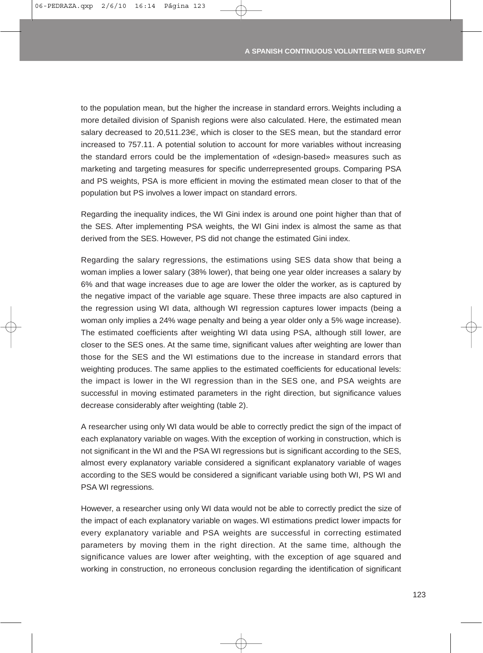to the population mean, but the higher the increase in standard errors. Weights including a more detailed division of Spanish regions were also calculated. Here, the estimated mean salary decreased to 20,511.23€, which is closer to the SES mean, but the standard error increased to 757.11. A potential solution to account for more variables without increasing the standard errors could be the implementation of «design-based» measures such as marketing and targeting measures for specific underrepresented groups. Comparing PSA and PS weights, PSA is more efficient in moving the estimated mean closer to that of the population but PS involves a lower impact on standard errors.

Regarding the inequality indices, the WI Gini index is around one point higher than that of the SES. After implementing PSA weights, the WI Gini index is almost the same as that derived from the SES. However, PS did not change the estimated Gini index.

Regarding the salary regressions, the estimations using SES data show that being a woman implies a lower salary (38% lower), that being one year older increases a salary by 6% and that wage increases due to age are lower the older the worker, as is captured by the negative impact of the variable age square. These three impacts are also captured in the regression using WI data, although WI regression captures lower impacts (being a woman only implies a 24% wage penalty and being a year older only a 5% wage increase). The estimated coefficients after weighting WI data using PSA, although still lower, are closer to the SES ones. At the same time, significant values after weighting are lower than those for the SES and the WI estimations due to the increase in standard errors that weighting produces. The same applies to the estimated coefficients for educational levels: the impact is lower in the WI regression than in the SES one, and PSA weights are successful in moving estimated parameters in the right direction, but significance values decrease considerably after weighting (table 2).

A researcher using only WI data would be able to correctly predict the sign of the impact of each explanatory variable on wages. With the exception of working in construction, which is not significant in the WI and the PSA WI regressions but is significant according to the SES, almost every explanatory variable considered a significant explanatory variable of wages according to the SES would be considered a significant variable using both WI, PS WI and PSA WI regressions.

However, a researcher using only WI data would not be able to correctly predict the size of the impact of each explanatory variable on wages. WI estimations predict lower impacts for every explanatory variable and PSA weights are successful in correcting estimated parameters by moving them in the right direction. At the same time, although the significance values are lower after weighting, with the exception of age squared and working in construction, no erroneous conclusion regarding the identification of significant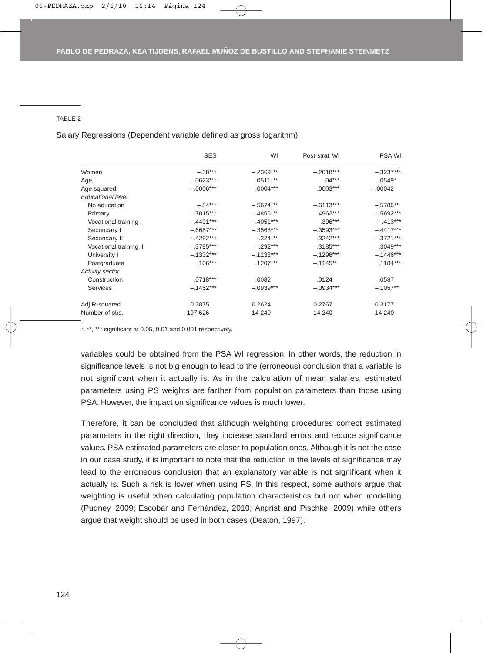#### TABLE 2

Salary Regressions (Dependent variable defined as gross logarithm)

|                          | <b>SES</b>  | WI          | Post-strat. WI | <b>PSA WI</b> |
|--------------------------|-------------|-------------|----------------|---------------|
| Women                    | $-.38***$   | $-.2369***$ | $-.2618***$    | $-.3237***$   |
| Age                      | $.0623***$  | $.0511***$  | $.04***$       | $.0549*$      |
| Age squared              | $-.0006***$ | $-.0004***$ | $-.0003***$    | $-.00042$     |
| <b>Educational level</b> |             |             |                |               |
| No education             | $-.84***$   | $-.5674***$ | $-.6113***$    | $-.5786**$    |
| Primary                  | $-.7015***$ | $-.4856***$ | $-.4962***$    | $-.5692***$   |
| Vocational training I    | $-.4491***$ | $-.4051***$ | $-.396***$     | $-413***$     |
| Secondary I              | $-.6657***$ | $-.3568***$ | $-.3593***$    | $-.4417***$   |
| Secondary II             | $-.4292***$ | $-.324***$  | $-.3242***$    | $-.3721***$   |
| Vocational training II   | $-.3795***$ | $-.292***$  | $-.3185***$    | $-.3049***$   |
| University I             | $-.1332***$ | $-.1233***$ | $-.1296***$    | $-.1446***$   |
| Postgraduate             | $.106***$   | $.1207***$  | $-.1145**$     | $.1184***$    |
| Activity sector          |             |             |                |               |
| Construction             | $.0718***$  | .0082       | .0124          | .0587         |
| <b>Services</b>          | $-.1452***$ | $-.0939***$ | $-.0934***$    | $-.1057**$    |
| Adj R-squared            | 0.3875      | 0.2624      | 0.2767         | 0.3177        |
| Number of obs.           | 197 626     | 14 240      | 14 240         | 14 240        |

\*, \*\*, \*\*\* significant at 0.05, 0.01 and 0.001 respectively.

variables could be obtained from the PSA WI regression. In other words, the reduction in significance levels is not big enough to lead to the (erroneous) conclusion that a variable is not significant when it actually is. As in the calculation of mean salaries, estimated parameters using PS weights are farther from population parameters than those using PSA. However, the impact on significance values is much lower.

Therefore, it can be concluded that although weighting procedures correct estimated parameters in the right direction, they increase standard errors and reduce significance values. PSA estimated parameters are closer to population ones. Although it is not the case in our case study, it is important to note that the reduction in the levels of significance may lead to the erroneous conclusion that an explanatory variable is not significant when it actually is. Such a risk is lower when using PS. In this respect, some authors argue that weighting is useful when calculating population characteristics but not when modelling (Pudney, 2009; Escobar and Fernández, 2010; Angrist and Pischke, 2009) while others argue that weight should be used in both cases (Deaton, 1997).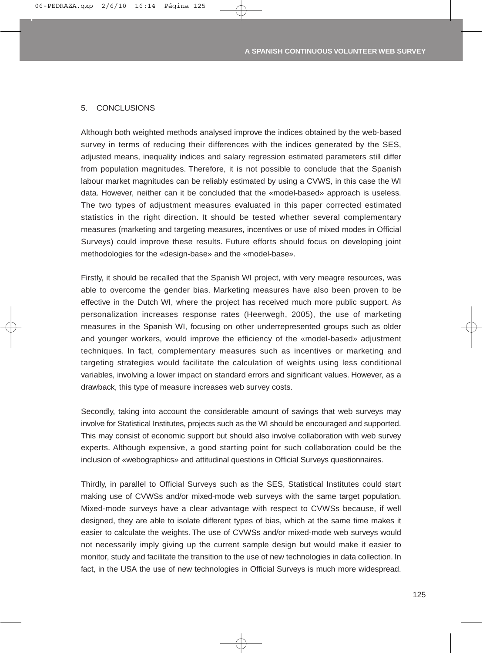#### 5. CONCLUSIONS

Although both weighted methods analysed improve the indices obtained by the web-based survey in terms of reducing their differences with the indices generated by the SES, adjusted means, inequality indices and salary regression estimated parameters still differ from population magnitudes. Therefore, it is not possible to conclude that the Spanish labour market magnitudes can be reliably estimated by using a CVWS, in this case the WI data. However, neither can it be concluded that the «model-based» approach is useless. The two types of adjustment measures evaluated in this paper corrected estimated statistics in the right direction. It should be tested whether several complementary measures (marketing and targeting measures, incentives or use of mixed modes in Official Surveys) could improve these results. Future efforts should focus on developing joint methodologies for the «design-base» and the «model-base».

Firstly, it should be recalled that the Spanish WI project, with very meagre resources, was able to overcome the gender bias. Marketing measures have also been proven to be effective in the Dutch WI, where the project has received much more public support. As personalization increases response rates (Heerwegh, 2005), the use of marketing measures in the Spanish WI, focusing on other underrepresented groups such as older and younger workers, would improve the efficiency of the «model-based» adjustment techniques. In fact, complementary measures such as incentives or marketing and targeting strategies would facilitate the calculation of weights using less conditional variables, involving a lower impact on standard errors and significant values. However, as a drawback, this type of measure increases web survey costs.

Secondly, taking into account the considerable amount of savings that web surveys may involve for Statistical Institutes, projects such as the WI should be encouraged and supported. This may consist of economic support but should also involve collaboration with web survey experts. Although expensive, a good starting point for such collaboration could be the inclusion of «webographics» and attitudinal questions in Official Surveys questionnaires.

Thirdly, in parallel to Official Surveys such as the SES, Statistical Institutes could start making use of CVWSs and/or mixed-mode web surveys with the same target population. Mixed-mode surveys have a clear advantage with respect to CVWSs because, if well designed, they are able to isolate different types of bias, which at the same time makes it easier to calculate the weights. The use of CVWSs and/or mixed-mode web surveys would not necessarily imply giving up the current sample design but would make it easier to monitor, study and facilitate the transition to the use of new technologies in data collection. In fact, in the USA the use of new technologies in Official Surveys is much more widespread.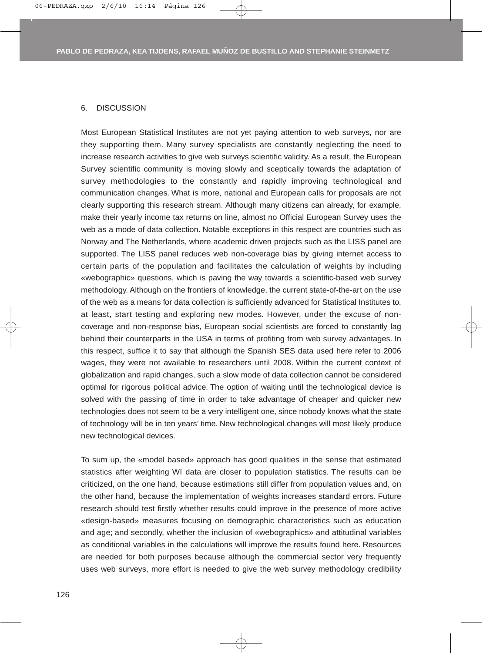#### 6. DISCUSSION

Most European Statistical Institutes are not yet paying attention to web surveys, nor are they supporting them. Many survey specialists are constantly neglecting the need to increase research activities to give web surveys scientific validity. As a result, the European Survey scientific community is moving slowly and sceptically towards the adaptation of survey methodologies to the constantly and rapidly improving technological and communication changes. What is more, national and European calls for proposals are not clearly supporting this research stream. Although many citizens can already, for example, make their yearly income tax returns on line, almost no Official European Survey uses the web as a mode of data collection. Notable exceptions in this respect are countries such as Norway and The Netherlands, where academic driven projects such as the LISS panel are supported. The LISS panel reduces web non-coverage bias by giving internet access to certain parts of the population and facilitates the calculation of weights by including «webographic» questions, which is paving the way towards a scientific-based web survey methodology. Although on the frontiers of knowledge, the current state-of-the-art on the use of the web as a means for data collection is sufficiently advanced for Statistical Institutes to, at least, start testing and exploring new modes. However, under the excuse of noncoverage and non-response bias, European social scientists are forced to constantly lag behind their counterparts in the USA in terms of profiting from web survey advantages. In this respect, suffice it to say that although the Spanish SES data used here refer to 2006 wages, they were not available to researchers until 2008. Within the current context of globalization and rapid changes, such a slow mode of data collection cannot be considered optimal for rigorous political advice. The option of waiting until the technological device is solved with the passing of time in order to take advantage of cheaper and quicker new technologies does not seem to be a very intelligent one, since nobody knows what the state of technology will be in ten years' time. New technological changes will most likely produce new technological devices.

To sum up, the «model based» approach has good qualities in the sense that estimated statistics after weighting WI data are closer to population statistics. The results can be criticized, on the one hand, because estimations still differ from population values and, on the other hand, because the implementation of weights increases standard errors. Future research should test firstly whether results could improve in the presence of more active «design-based» measures focusing on demographic characteristics such as education and age; and secondly, whether the inclusion of «webographics» and attitudinal variables as conditional variables in the calculations will improve the results found here. Resources are needed for both purposes because although the commercial sector very frequently uses web surveys, more effort is needed to give the web survey methodology credibility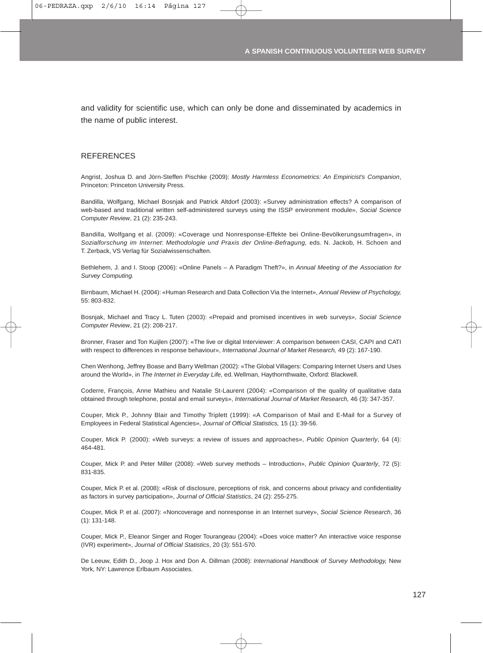and validity for scientific use, which can only be done and disseminated by academics in the name of public interest.

#### **REFERENCES**

Angrist, Joshua D. and Jörn-Steffen Pischke (2009): *Mostly Harmless Econometrics: An Empiricist's Companion*, Princeton: Princeton University Press.

Bandilla, Wolfgang, Michael Bosnjak and Patrick Altdorf (2003): «Survey administration effects? A comparison of web-based and traditional written self-administered surveys using the ISSP environment module», *Social Science Computer Review*, 21 (2): 235-243.

Bandilla, Wolfgang et al. (2009): «Coverage und Nonresponse-Effekte bei Online-Bevölkerungsumfragen», in *Sozialforschung im Internet*: *Methodologie und Praxis der Online-Befragung,* eds. N. Jackob, H. Schoen and T. Zerback, VS Verlag für Sozialwissenschaften.

Bethlehem, J. and I. Stoop (2006): «Online Panels – A Paradigm Theft?», in *Annual Meeting of the Association for Survey Computing.*

Birnbaum, Michael H. (2004): «Human Research and Data Collection Via the Internet», *Annual Review of Psychology,* 55: 803-832.

Bosnjak, Michael and Tracy L. Tuten (2003): «Prepaid and promised incentives in web surveys», *Social Science Computer Review*, 21 (2): 208-217.

Bronner, Fraser and Ton Kuijlen (2007): «The live or digital Interviewer: A comparison between CASI, CAPI and CATI with respect to differences in response behaviour», *International Journal of Market Research,* 49 (2): 167-190.

Chen Wenhong, Jeffrey Boase and Barry Wellman (2002): «The Global Villagers: Comparing Internet Users and Uses around the World», in *The Internet in Everyday Life*, ed. Wellman, Haythornthwaite, Oxford: Blackwell.

Coderre, François, Anne Mathieu and Natalie St-Laurent (2004): «Comparison of the quality of qualitative data obtained through telephone, postal and email surveys», *International Journal of Market Research,* 46 (3): 347-357.

Couper, Mick P., Johnny Blair and Timothy Triplett (1999): «A Comparison of Mail and E-Mail for a Survey of Employees in Federal Statistical Agencies», *Journal of Official Statistics,* 15 (1): 39-56.

Couper, Mick P. (2000): «Web surveys: a review of issues and approaches», *Public Opinion Quarterly*, 64 (4): 464-481.

Couper, Mick P. and Peter Miller (2008): «Web survey methods – Introduction», *Public Opinion Quarterly*, 72 (5): 831-835.

Couper, Mick P. et al. (2008): «Risk of disclosure, perceptions of risk, and concerns about privacy and confidentiality as factors in survey participation», *Journal of Official Statistics*, 24 (2): 255-275.

Couper, Mick P. et al. (2007): «Noncoverage and nonresponse in an Internet survey», *Social Science Research*, 36 (1): 131-148.

Couper, Mick P., Eleanor Singer and Roger Tourangeau (2004): «Does voice matter? An interactive voice response (IVR) experiment», *Journal of Official Statistics*, 20 (3): 551-570.

De Leeuw, Edith D., Joop J. Hox and Don A. Dillman (2008): *International Handbook of Survey Methodology,* New York, NY: Lawrence Erlbaum Associates.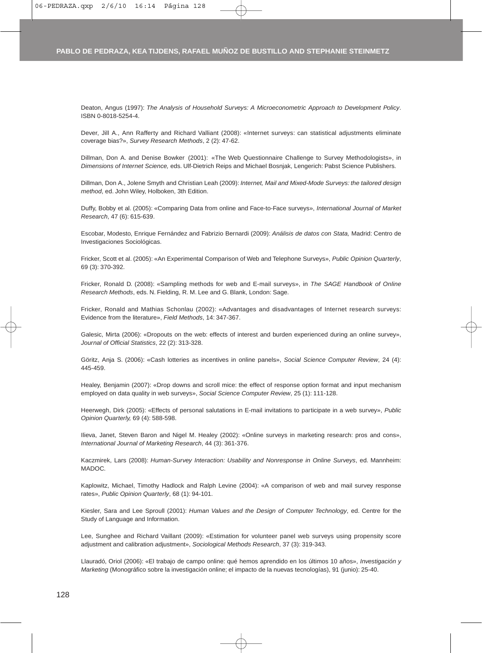Deaton, Angus (1997): *The Analysis of Household Surveys: A Microeconometric Approach to Development Policy*. ISBN 0-8018-5254-4.

Dever, Jill A., Ann Rafferty and Richard Valliant (2008): «Internet surveys: can statistical adjustments eliminate coverage bias?», *Survey Research Methods*, 2 (2): 47-62.

Dillman, Don A. and Denise Bowker (2001): «The Web Questionnaire Challenge to Survey Methodologists», in *Dimensions of Internet Science,* eds. Ulf-Dietrich Reips and Michael Bosnjak, Lengerich: Pabst Science Publishers.

Dillman, Don A., Jolene Smyth and Christian Leah (2009): *Internet, Mail and Mixed-Mode Surveys: the tailored design method*, ed. John Wiley, Holboken, 3th Edition.

Duffy, Bobby et al. (2005): «Comparing Data from online and Face-to-Face surveys», *International Journal of Market Research*, 47 (6): 615-639.

Escobar, Modesto, Enrique Fernández and Fabrizio Bernardi (2009): *Análisis de datos con Stata,* Madrid: Centro de Investigaciones Sociológicas.

Fricker, Scott et al. (2005): «An Experimental Comparison of Web and Telephone Surveys», *Public Opinion Quarterly*, 69 (3): 370-392.

Fricker, Ronald D. (2008): «Sampling methods for web and E-mail surveys», in *The SAGE Handbook of Online Research Methods*, eds. N. Fielding, R. M. Lee and G. Blank, London: Sage.

Fricker, Ronald and Mathias Schonlau (2002): «Advantages and disadvantages of Internet research surveys: Evidence from the literature», *Field Methods*, 14: 347-367.

Galesic, Mirta (2006): «Dropouts on the web: effects of interest and burden experienced during an online survey», *Journal of Official Statistics*, 22 (2): 313-328.

Göritz, Anja S. (2006): «Cash lotteries as incentives in online panels», *Social Science Computer Review*, 24 (4): 445-459.

Healey, Benjamin (2007): «Drop downs and scroll mice: the effect of response option format and input mechanism employed on data quality in web surveys», *Social Science Computer Review*, 25 (1): 111-128.

Heerwegh, Dirk (2005): «Effects of personal salutations in E-mail invitations to participate in a web survey», *Public Opinion Quarterly,* 69 (4): 588-598.

Ilieva, Janet, Steven Baron and Nigel M. Healey (2002): «Online surveys in marketing research: pros and cons», *International Journal of Marketing Research*, 44 (3): 361-376.

Kaczmirek, Lars (2008): *Human-Survey Interaction: Usability and Nonresponse in Online Surveys*, ed. Mannheim: MADOC.

Kaplowitz, Michael, Timothy Hadlock and Ralph Levine (2004): «A comparison of web and mail survey response rates», *Public Opinion Quarterly*, 68 (1): 94-101.

Kiesler, Sara and Lee Sproull (2001): *Human Values and the Design of Computer Technology*, ed. Centre for the Study of Language and Information.

Lee, Sunghee and Richard Vaillant (2009): «Estimation for volunteer panel web surveys using propensity score adjustment and calibration adjustment», *Sociological Methods Research*, 37 (3): 319-343.

Llauradó, Oriol (2006): «El trabajo de campo online: qué hemos aprendido en los últimos 10 años», *Investigación y Marketing* (Monográfico sobre la investigación online; el impacto de la nuevas tecnologías), 91 (junio): 25-40.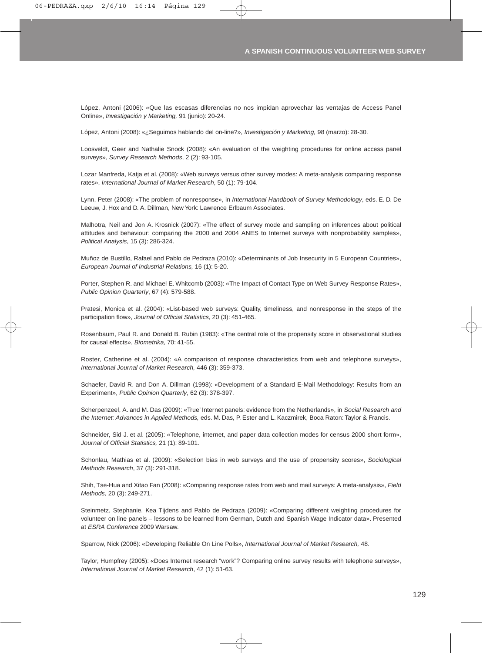López, Antoni (2006): «Que las escasas diferencias no nos impidan aprovechar las ventajas de Access Panel Online», *Investigación y Marketing,* 91 (junio): 20-24.

López, Antoni (2008): «¿Seguimos hablando del on-line?», *Investigación y Marketing,* 98 (marzo): 28-30.

Loosveldt, Geer and Nathalie Snock (2008): «An evaluation of the weighting procedures for online access panel surveys», *Survey Research Methods*, 2 (2): 93-105.

Lozar Manfreda, Katja et al. (2008): «Web surveys versus other survey modes: A meta-analysis comparing response rates», *International Journal of Market Research*, 50 (1): 79-104.

Lynn, Peter (2008): «The problem of nonresponse», in *International Handbook of Survey Methodology*, eds. E. D. De Leeuw, J. Hox and D. A. Dillman, New York: Lawrence Erlbaum Associates.

Malhotra, Neil and Jon A. Krosnick (2007): «The effect of survey mode and sampling on inferences about political attitudes and behaviour: comparing the 2000 and 2004 ANES to Internet surveys with nonprobability samples», *Political Analysis*, 15 (3): 286-324.

Muñoz de Bustillo, Rafael and Pablo de Pedraza (2010): «Determinants of Job Insecurity in 5 European Countries», *European Journal of Industrial Relations,* 16 (1): 5-20.

Porter, Stephen R. and Michael E. Whitcomb (2003): «The Impact of Contact Type on Web Survey Response Rates», *Public Opinion Quarterly*, 67 (4): 579-588.

Pratesi, Monica et al. (2004): «List-based web surveys: Quality, timeliness, and nonresponse in the steps of the participation flow», *Journal of Official Statistics,* 20 (3): 451-465.

Rosenbaum, Paul R. and Donald B. Rubin (1983): «The central role of the propensity score in observational studies for causal effects», *Biometrika*, 70: 41-55.

Roster, Catherine et al. (2004): «A comparison of response characteristics from web and telephone surveys», *International Journal of Market Research,* 446 (3): 359-373.

Schaefer, David R. and Don A. Dillman (1998): «Development of a Standard E-Mail Methodology: Results from an Experiment», *Public Opinion Quarterly*, 62 (3): 378-397.

Scherpenzeel, A. and M. Das (2009): «True' Internet panels: evidence from the Netherlands», in *Social Research and the Internet: Advances in Applied Methods,* eds. M. Das, P. Ester and L. Kaczmirek, Boca Raton: Taylor & Francis.

Schneider, Sid J. et al. (2005): «Telephone, internet, and paper data collection modes for census 2000 short form», *Journal of Official Statistics,* 21 (1): 89-101.

Schonlau, Mathias et al. (2009): «Selection bias in web surveys and the use of propensity scores», *Sociological Methods Research*, 37 (3): 291-318.

Shih, Tse-Hua and Xitao Fan (2008): «Comparing response rates from web and mail surveys: A meta-analysis», *Field Methods*, 20 (3): 249-271.

Steinmetz, Stephanie, Kea Tijdens and Pablo de Pedraza (2009): «Comparing different weighting procedures for volunteer on line panels – lessons to be learned from German, Dutch and Spanish Wage Indicator data». Presented at *ESRA Conference* 2009 Warsaw.

Sparrow, Nick (2006): «Developing Reliable On Line Polls», *International Journal of Market Research,* 48.

Taylor, Humpfrey (2005): «Does Internet research "work"? Comparing online survey results with telephone surveys», *International Journal of Market Research*, 42 (1): 51-63.